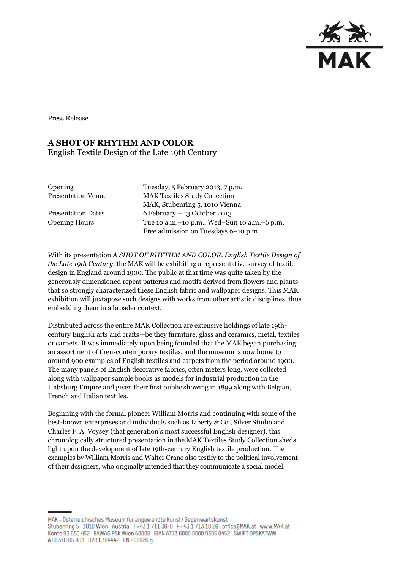

Press Release

## **A SHOT OF RHYTHM AND COLOR**

English Textile Design of the Late 19th Century

Opening Tuesday, 5 February 2013, 7 p.m. Presentation Venue MAK Textiles Study Collection MAK, Stubenring 5, 1010 Vienna Presentation Dates 6 February – 13 October 2013 Opening Hours Tue 10 a.m.–10 p.m., Wed–Sun 10 a.m.–6 p.m. Free admission on Tuesdays 6–10 p.m.

With its presentation *A SHOT OF RHYTHM AND COLOR. English Textile Design of the Late 19th Century,* the MAK will be exhibiting a representative survey of textile design in England around 1900. The public at that time was quite taken by the generously dimensioned repeat patterns and motifs derived from flowers and plants that so strongly characterized these English fabric and wallpaper designs. This MAK exhibition will juxtapose such designs with works from other artistic disciplines, thus embedding them in a broader context.

Distributed across the entire MAK Collection are extensive holdings of late 19thcentury English arts and crafts—be they furniture, glass and ceramics, metal, textiles or carpets. It was immediately upon being founded that the MAK began purchasing an assortment of then-contemporary textiles, and the museum is now home to around 900 examples of English textiles and carpets from the period around 1900. The many panels of English decorative fabrics, often meters long, were collected along with wallpaper sample books as models for industrial production in the Habsburg Empire and given their first public showing in 1899 along with Belgian, French and Italian textiles.

Beginning with the formal pioneer William Morris and continuing with some of the best-known enterprises and individuals such as Liberty & Co., Silver Studio and Charles F. A. Voysey (that generation's most successful English designer), this chronologically structured presentation in the MAK Textiles Study Collection sheds light upon the development of late 19th-century English textile production. The examples by William Morris and Walter Crane also testify to the political involvement of their designers, who originally intended that they communicate a social model.

MAK - Österreichisches Museum für angewandte Kunst/Gegenwartskunst Stubenring 5 1010 Wien Austria T+43 1711 36-0 F+43 1713 10 26 office@MAK.at www.MAK.at Konto 93 050 452 BAWAG PSK Wien 60000 BAN AT73 6000 0000 9305 0452 SWIFT 0PSKATWW ATU 370 65 803 DVR 0764442 FN 200026 g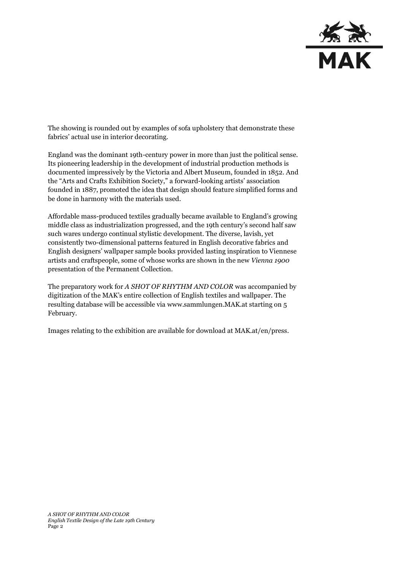

The showing is rounded out by examples of sofa upholstery that demonstrate these fabrics' actual use in interior decorating.

England was the dominant 19th-century power in more than just the political sense. Its pioneering leadership in the development of industrial production methods is documented impressively by the Victoria and Albert Museum, founded in 1852. And the "Arts and Crafts Exhibition Society," a forward-looking artists' association founded in 1887, promoted the idea that design should feature simplified forms and be done in harmony with the materials used.

Affordable mass-produced textiles gradually became available to England's growing middle class as industrialization progressed, and the 19th century's second half saw such wares undergo continual stylistic development. The diverse, lavish, yet consistently two-dimensional patterns featured in English decorative fabrics and English designers' wallpaper sample books provided lasting inspiration to Viennese artists and craftspeople, some of whose works are shown in the new *Vienna 1900*  presentation of the Permanent Collection.

The preparatory work for *A SHOT OF RHYTHM AND COLOR* was accompanied by digitization of the MAK's entire collection of English textiles and wallpaper. The resulting database will be accessible via [www.sammlungen.MAK.at](http://www.sammlungen.mak.at/) starting on 5 February.

Images relating to the exhibition are available for download at [MAK.at/en/press.](http://www.mak.at/presse)